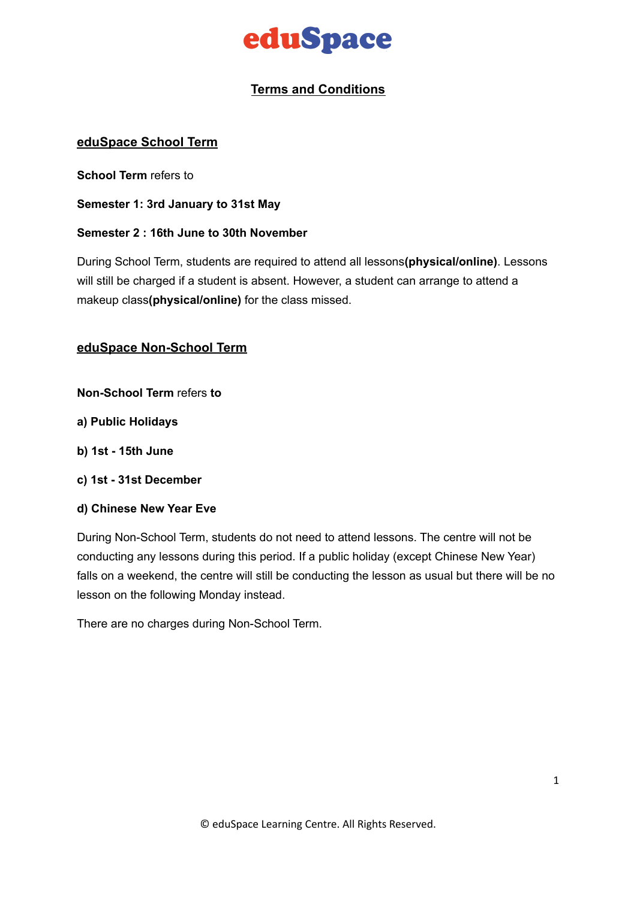# eduSpace

# **Terms and Conditions**

# **eduSpace School Term**

**School Term** refers to

**Semester 1: 3rd January to 31st May**

## **Semester 2 : 16th June to 30th November**

During School Term, students are required to attend all lessons**(physical/online)**. Lessons will still be charged if a student is absent. However, a student can arrange to attend a makeup class**(physical/online)** for the class missed.

## **eduSpace Non-School Term**

**Non-School Term** refers **to**

- **a) Public Holidays**
- **b) 1st - 15th June**
- **c) 1st - 31st December**

#### **d) Chinese New Year Eve**

During Non-School Term, students do not need to attend lessons. The centre will not be conducting any lessons during this period. If a public holiday (except Chinese New Year) falls on a weekend, the centre will still be conducting the lesson as usual but there will be no lesson on the following Monday instead.

There are no charges during Non-School Term.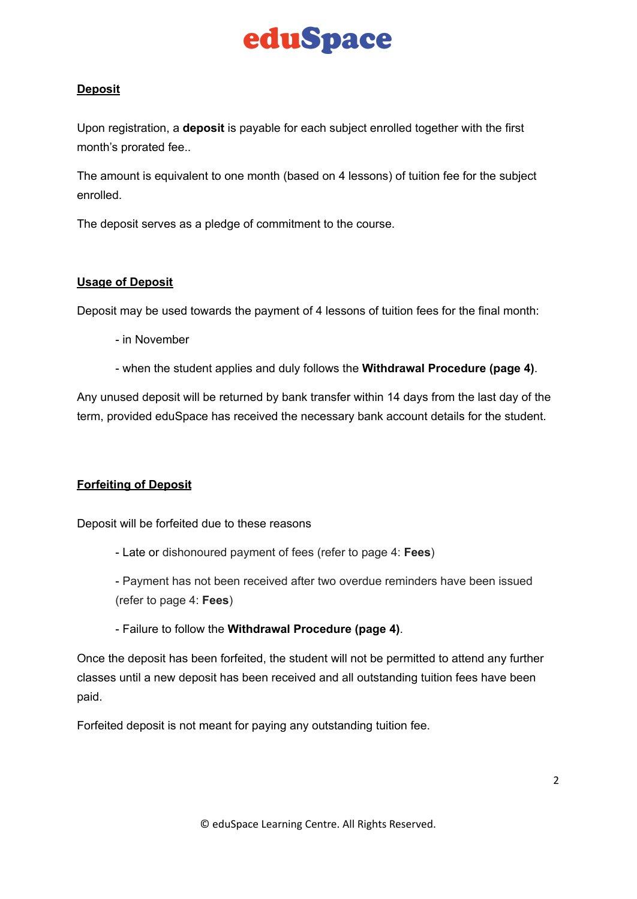# eduSpace

# **Deposit**

Upon registration, a **deposit** is payable for each subject enrolled together with the first month's prorated fee..

The amount is equivalent to one month (based on 4 lessons) of tuition fee for the subject enrolled.

The deposit serves as a pledge of commitment to the course.

# **Usage of Deposit**

Deposit may be used towards the payment of 4 lessons of tuition fees for the final month:

- in November
- when the student applies and duly follows the **Withdrawal Procedure (page 4)**.

Any unused deposit will be returned by bank transfer within 14 days from the last day of the term, provided eduSpace has received the necessary bank account details for the student.

# **Forfeiting of Deposit**

Deposit will be forfeited due to these reasons

- Late or dishonoured payment of fees (refer to page 4: **Fees**)
- Payment has not been received after two overdue reminders have been issued (refer to page 4: **Fees**)
- Failure to follow the **Withdrawal Procedure (page 4)**.

Once the deposit has been forfeited, the student will not be permitted to attend any further classes until a new deposit has been received and all outstanding tuition fees have been paid.

Forfeited deposit is not meant for paying any outstanding tuition fee.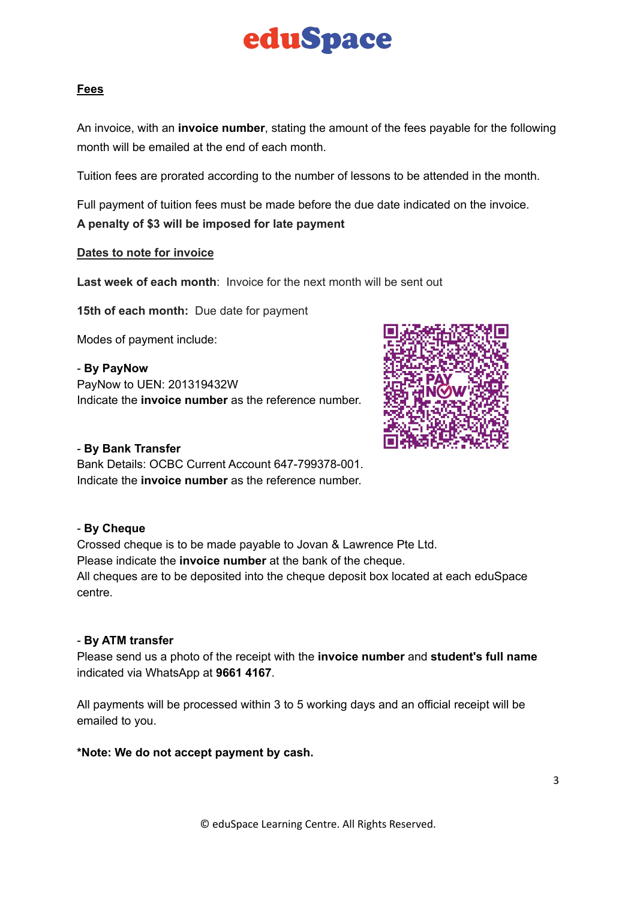

### **Fees**

An invoice, with an **invoice number**, stating the amount of the fees payable for the following month will be emailed at the end of each month.

Tuition fees are prorated according to the number of lessons to be attended in the month.

Full payment of tuition fees must be made before the due date indicated on the invoice. **A penalty of \$3 will be imposed for late payment**

#### **Dates to note for invoice**

**Last week of each month**: Invoice for the next month will be sent out

**15th of each month:** Due date for payment

Modes of payment include:

- **By PayNow** PayNow to UEN: 201319432W Indicate the **invoice number** as the reference number.



#### - **By Bank Transfer**

Bank Details: OCBC Current Account 647-799378-001. Indicate the **invoice number** as the reference number.

## - **By Cheque**

Crossed cheque is to be made payable to Jovan & Lawrence Pte Ltd. Please indicate the **invoice number** at the bank of the cheque. All cheques are to be deposited into the cheque deposit box located at each eduSpace centre.

## - **By ATM transfer**

Please send us a photo of the receipt with the **invoice number** and **student's full name** indicated via WhatsApp at **9661 4167**.

All payments will be processed within 3 to 5 working days and an official receipt will be emailed to you.

#### **\*Note: We do not accept payment by cash.**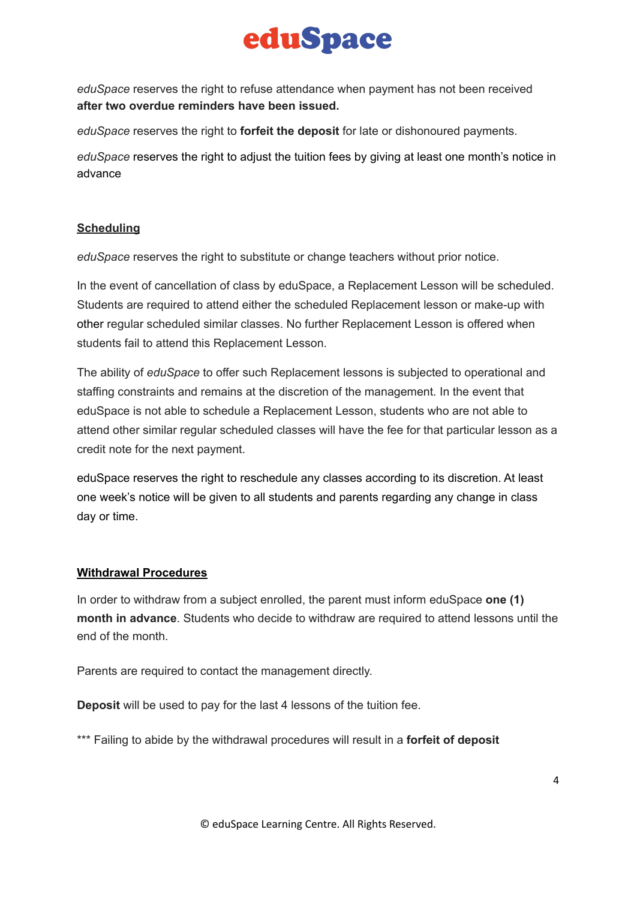

*eduSpace* reserves the right to refuse attendance when payment has not been received **after two overdue reminders have been issued.**

*eduSpace* reserves the right to **forfeit the deposit** for late or dishonoured payments.

*eduSpace* reserves the right to adjust the tuition fees by giving at least one month's notice in advance

# **Scheduling**

*eduSpace* reserves the right to substitute or change teachers without prior notice.

In the event of cancellation of class by eduSpace, a Replacement Lesson will be scheduled. Students are required to attend either the scheduled Replacement lesson or make-up with other regular scheduled similar classes. No further Replacement Lesson is offered when students fail to attend this Replacement Lesson.

The ability of *eduSpace* to offer such Replacement lessons is subjected to operational and staffing constraints and remains at the discretion of the management. In the event that eduSpace is not able to schedule a Replacement Lesson, students who are not able to attend other similar regular scheduled classes will have the fee for that particular lesson as a credit note for the next payment.

eduSpace reserves the right to reschedule any classes according to its discretion. At least one week's notice will be given to all students and parents regarding any change in class day or time.

## **Withdrawal Procedures**

In order to withdraw from a subject enrolled, the parent must inform eduSpace **one (1) month in advance**. Students who decide to withdraw are required to attend lessons until the end of the month.

Parents are required to contact the management directly.

**Deposit** will be used to pay for the last 4 lessons of the tuition fee.

\*\*\* Failing to abide by the withdrawal procedures will result in a **forfeit of deposit**